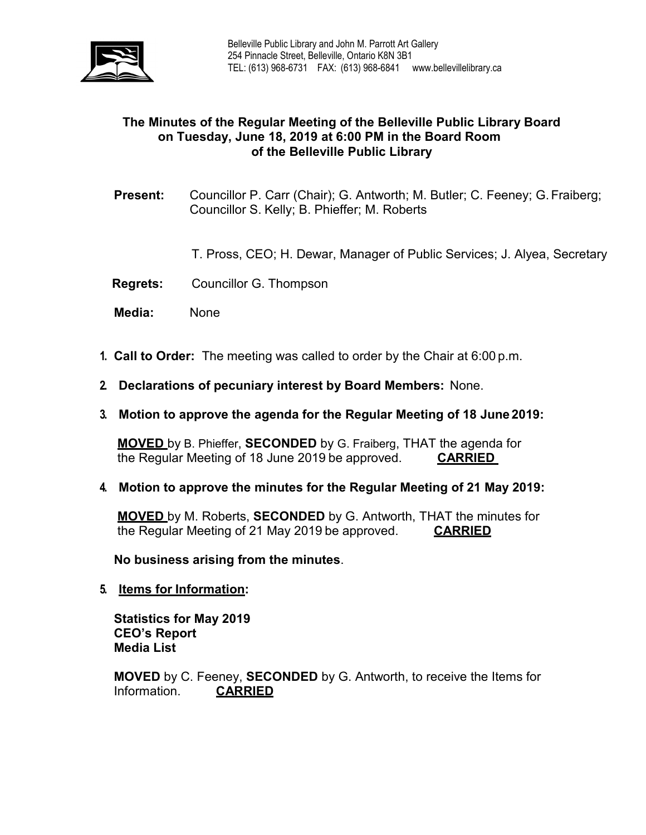

## **The Minutes of the Regular Meeting of the Belleville Public Library Board on Tuesday, June 18, 2019 at 6:00 PM in the Board Room of the Belleville Public Library**

**Present:** Councillor P. Carr (Chair); G. Antworth; M. Butler; C. Feeney; G.Fraiberg; Councillor S. Kelly; B. Phieffer; M. Roberts

T. Pross, CEO; H. Dewar, Manager of Public Services; J. Alyea, Secretary

- **Regrets:** Councillor G. Thompson
- **Media:** None
- **1. Call to Order:** The meeting was called to order by the Chair at 6:00 p.m.
- **2. Declarations of pecuniary interest by Board Members:** None.
- **3. Motion to approve the agenda for the Regular Meeting of 18 June 2019:**

**MOVED** by B. Phieffer, **SECONDED** by G. Fraiberg, THAT the agenda for the Regular Meeting of 18 June 2019 be approved. **CARRIED**

**4. Motion to approve the minutes for the Regular Meeting of 21 May 2019:**

**MOVED** by M. Roberts, **SECONDED** by G. Antworth, THAT the minutes for the Regular Meeting of 21 May 2019 be approved. **CARRIED**

**No business arising from the minutes**.

**5. Items for Information:**

**Statistics for May 2019 CEO's Report Media List**

**MOVED** by C. Feeney, **SECONDED** by G. Antworth, to receive the Items for Information. **CARRIED**